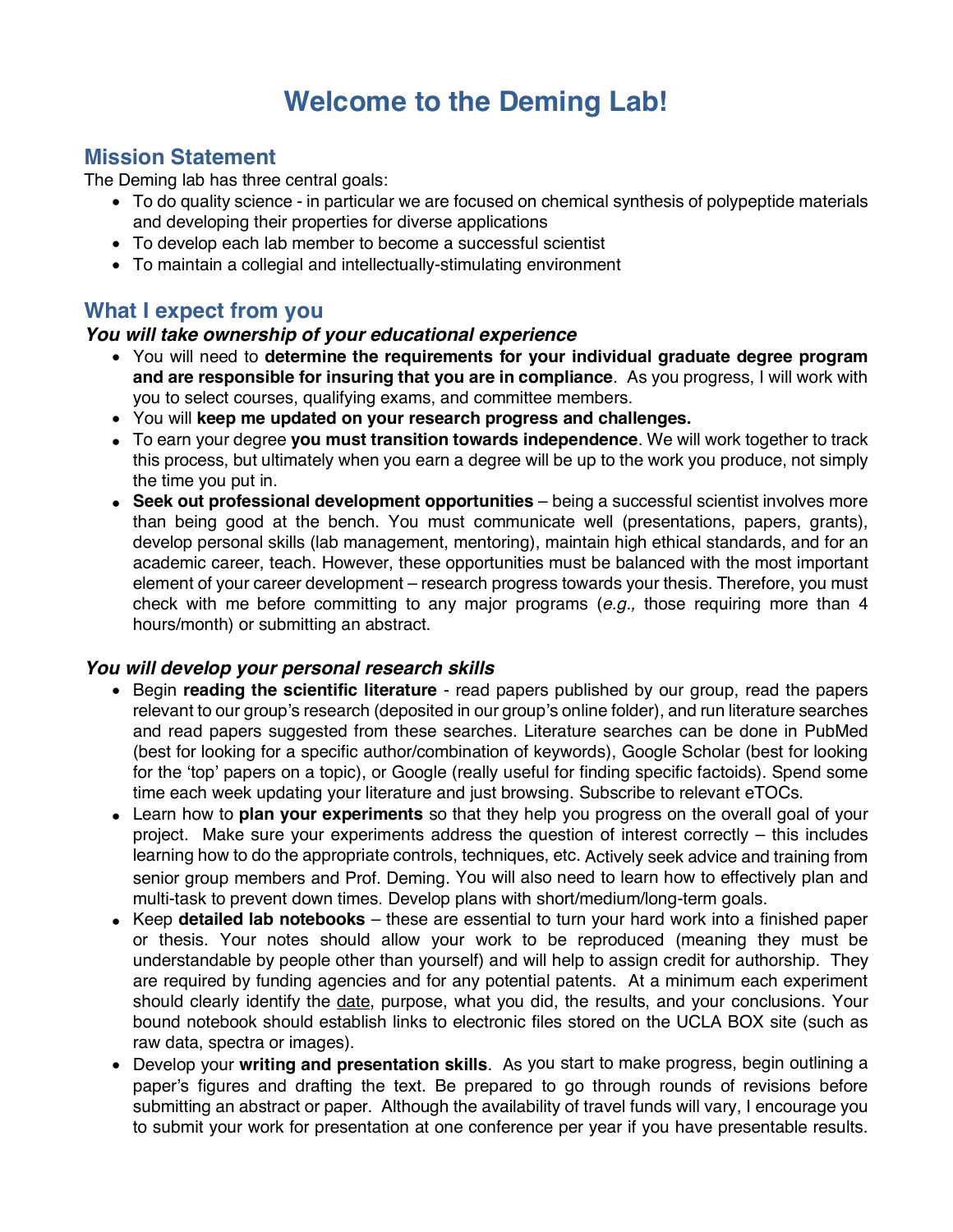# **Welcome to the Deming Lab!**

## **Mission Statement**

The Deming lab has three central goals:

- To do quality science in particular we are focused on chemical synthesis of polypeptide materials and developing their properties for diverse applications
- To develop each lab member to become a successful scientist
- To maintain a collegial and intellectually-stimulating environment

## **What I expect from you**

#### *You will take ownership of your educational experience*

- You will need to **determine the requirements for your individual graduate degree program and are responsible for insuring that you are in compliance**. As you progress, I will work with you to select courses, qualifying exams, and committee members.
- You will **keep me updated on your research progress and challenges.**
- To earn your degree **you must transition towards independence**. We will work together to track this process, but ultimately when you earn a degree will be up to the work you produce, not simply the time you put in.
- **Seek out professional development opportunities** being a successful scientist involves more than being good at the bench. You must communicate well (presentations, papers, grants), develop personal skills (lab management, mentoring), maintain high ethical standards, and for an academic career, teach. However, these opportunities must be balanced with the most important element of your career development – research progress towards your thesis. Therefore, you must check with me before committing to any major programs (*e.g.,* those requiring more than 4 hours/month) or submitting an abstract.

## *You will develop your personal research skills*

- Begin **reading the scientific literature** read papers published by our group, read the papers relevant to our group's research (deposited in our group's online folder), and run literature searches and read papers suggested from these searches. Literature searches can be done in PubMed (best for looking for a specific author/combination of keywords), Google Scholar (best for looking for the 'top' papers on a topic), or Google (really useful for finding specific factoids). Spend some time each week updating your literature and just browsing. Subscribe to relevant eTOCs.
- Learn how to **plan your experiments** so that they help you progress on the overall goal of your project. Make sure your experiments address the question of interest correctly – this includes learning how to do the appropriate controls, techniques, etc. Actively seek advice and training from senior group members and Prof. Deming. You will also need to learn how to effectively plan and multi-task to prevent down times. Develop plans with short/medium/long-term goals.
- Keep **detailed lab notebooks** these are essential to turn your hard work into a finished paper or thesis. Your notes should allow your work to be reproduced (meaning they must be understandable by people other than yourself) and will help to assign credit for authorship. They are required by funding agencies and for any potential patents. At a minimum each experiment should clearly identify the date, purpose, what you did, the results, and your conclusions. Your bound notebook should establish links to electronic files stored on the UCLA BOX site (such as raw data, spectra or images).
- Develop your **writing and presentation skills**. As you start to make progress, begin outlining a paper's figures and drafting the text. Be prepared to go through rounds of revisions before submitting an abstract or paper. Although the availability of travel funds will vary, I encourage you to submit your work for presentation at one conference per year if you have presentable results.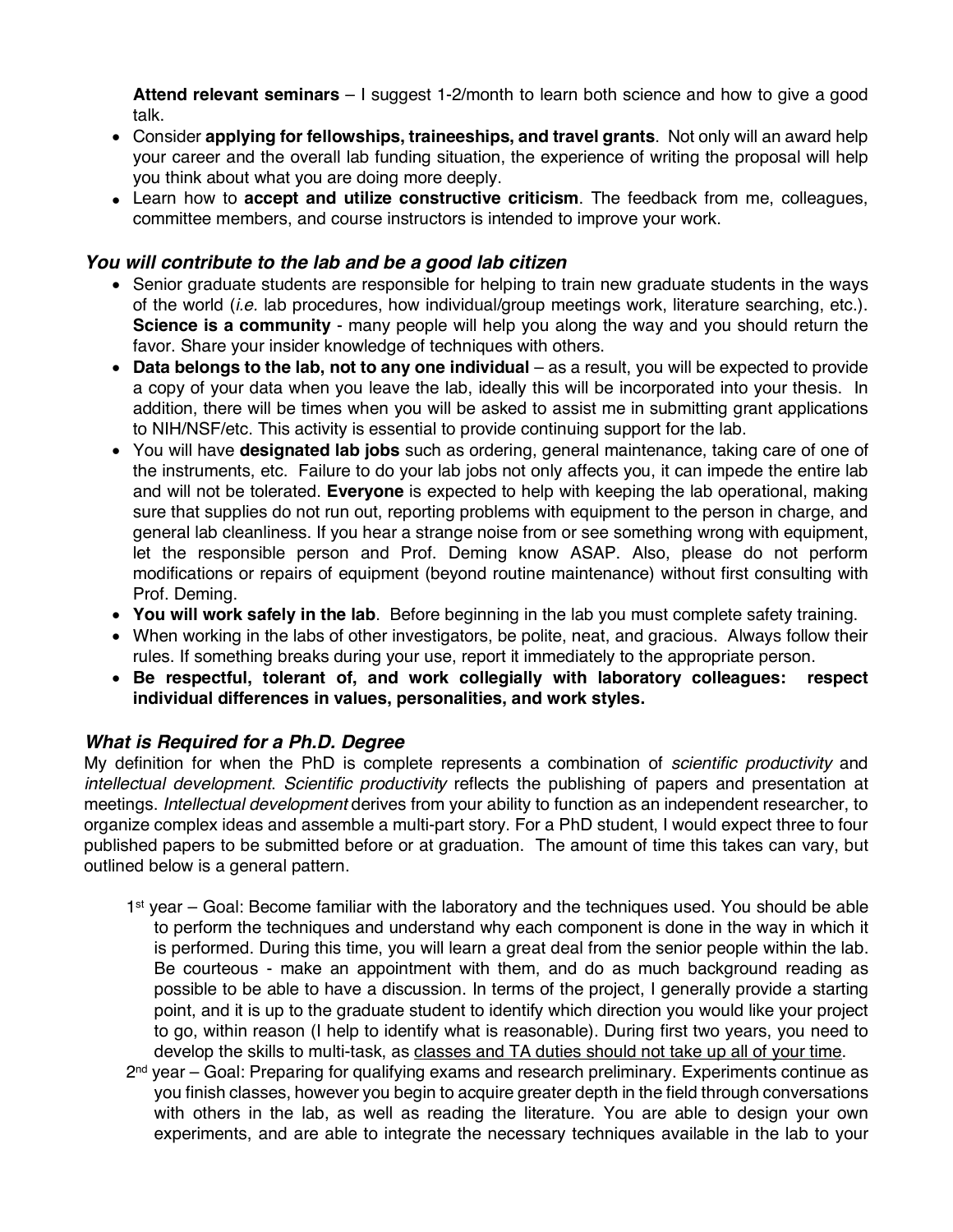**Attend relevant seminars** – I suggest 1-2/month to learn both science and how to give a good talk.

- Consider **applying for fellowships, traineeships, and travel grants**. Not only will an award help your career and the overall lab funding situation, the experience of writing the proposal will help you think about what you are doing more deeply.
- Learn how to **accept and utilize constructive criticism**. The feedback from me, colleagues, committee members, and course instructors is intended to improve your work.

## *You will contribute to the lab and be a good lab citizen*

- Senior graduate students are responsible for helping to train new graduate students in the ways of the world (*i.e.* lab procedures, how individual/group meetings work, literature searching, etc.). **Science is a community** - many people will help you along the way and you should return the favor. Share your insider knowledge of techniques with others.
- **Data belongs to the lab, not to any one individual** as a result, you will be expected to provide a copy of your data when you leave the lab, ideally this will be incorporated into your thesis. In addition, there will be times when you will be asked to assist me in submitting grant applications to NIH/NSF/etc. This activity is essential to provide continuing support for the lab.
- You will have **designated lab jobs** such as ordering, general maintenance, taking care of one of the instruments, etc. Failure to do your lab jobs not only affects you, it can impede the entire lab and will not be tolerated. **Everyone** is expected to help with keeping the lab operational, making sure that supplies do not run out, reporting problems with equipment to the person in charge, and general lab cleanliness. If you hear a strange noise from or see something wrong with equipment, let the responsible person and Prof. Deming know ASAP. Also, please do not perform modifications or repairs of equipment (beyond routine maintenance) without first consulting with Prof. Deming.
- **You will work safely in the lab**. Before beginning in the lab you must complete safety training.
- When working in the labs of other investigators, be polite, neat, and gracious. Always follow their rules. If something breaks during your use, report it immediately to the appropriate person.
- **Be respectful, tolerant of, and work collegially with laboratory colleagues: respect individual differences in values, personalities, and work styles.**

## *What is Required for a Ph.D. Degree*

My definition for when the PhD is complete represents a combination of *scientific productivity* and *intellectual development*. *Scientific productivity* reflects the publishing of papers and presentation at meetings. *Intellectual development* derives from your ability to function as an independent researcher, to organize complex ideas and assemble a multi-part story. For a PhD student, I would expect three to four published papers to be submitted before or at graduation. The amount of time this takes can vary, but outlined below is a general pattern.

- 1<sup>st</sup> year Goal: Become familiar with the laboratory and the techniques used. You should be able to perform the techniques and understand why each component is done in the way in which it is performed. During this time, you will learn a great deal from the senior people within the lab. Be courteous - make an appointment with them, and do as much background reading as possible to be able to have a discussion. In terms of the project, I generally provide a starting point, and it is up to the graduate student to identify which direction you would like your project to go, within reason (I help to identify what is reasonable). During first two years, you need to develop the skills to multi-task, as classes and TA duties should not take up all of your time.
- $2<sup>nd</sup>$  year Goal: Preparing for qualifying exams and research preliminary. Experiments continue as you finish classes, however you begin to acquire greater depth in the field through conversations with others in the lab, as well as reading the literature. You are able to design your own experiments, and are able to integrate the necessary techniques available in the lab to your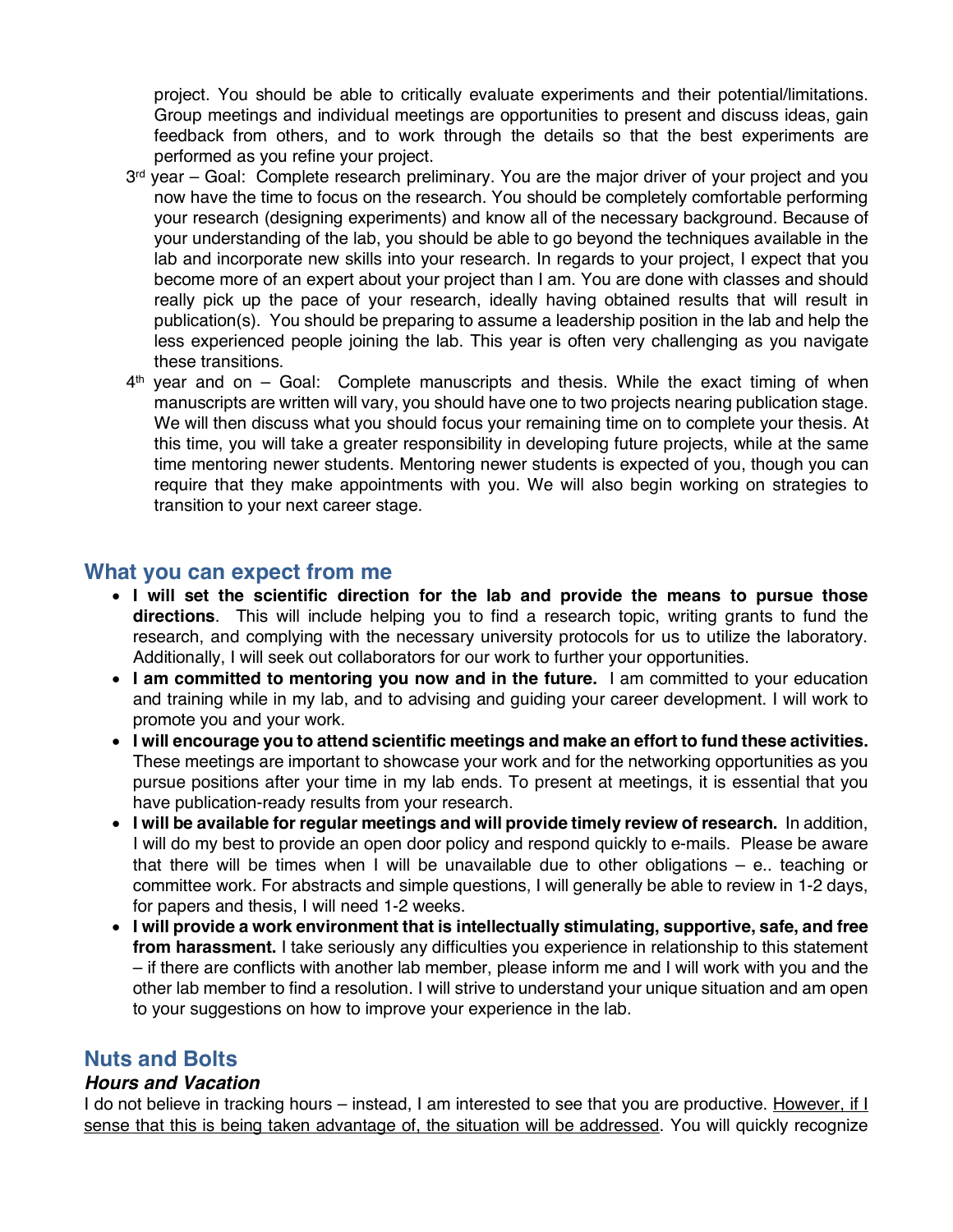project. You should be able to critically evaluate experiments and their potential/limitations. Group meetings and individual meetings are opportunities to present and discuss ideas, gain feedback from others, and to work through the details so that the best experiments are performed as you refine your project.

- $3<sup>rd</sup>$  year Goal: Complete research preliminary. You are the major driver of your project and you now have the time to focus on the research. You should be completely comfortable performing your research (designing experiments) and know all of the necessary background. Because of your understanding of the lab, you should be able to go beyond the techniques available in the lab and incorporate new skills into your research. In regards to your project, I expect that you become more of an expert about your project than I am. You are done with classes and should really pick up the pace of your research, ideally having obtained results that will result in publication(s). You should be preparing to assume a leadership position in the lab and help the less experienced people joining the lab. This year is often very challenging as you navigate these transitions.
- $4<sup>th</sup>$  year and on Goal: Complete manuscripts and thesis. While the exact timing of when manuscripts are written will vary, you should have one to two projects nearing publication stage. We will then discuss what you should focus your remaining time on to complete your thesis. At this time, you will take a greater responsibility in developing future projects, while at the same time mentoring newer students. Mentoring newer students is expected of you, though you can require that they make appointments with you. We will also begin working on strategies to transition to your next career stage.

## **What you can expect from me**

- **I will set the scientific direction for the lab and provide the means to pursue those directions**. This will include helping you to find a research topic, writing grants to fund the research, and complying with the necessary university protocols for us to utilize the laboratory. Additionally, I will seek out collaborators for our work to further your opportunities.
- **I am committed to mentoring you now and in the future.** I am committed to your education and training while in my lab, and to advising and guiding your career development. I will work to promote you and your work.
- **I will encourage you to attend scientific meetings and make an effort to fund these activities.** These meetings are important to showcase your work and for the networking opportunities as you pursue positions after your time in my lab ends. To present at meetings, it is essential that you have publication-ready results from your research.
- **I will be available for regular meetings and will provide timely review of research.** In addition, I will do my best to provide an open door policy and respond quickly to e-mails. Please be aware that there will be times when I will be unavailable due to other obligations – e.. teaching or committee work. For abstracts and simple questions, I will generally be able to review in 1-2 days, for papers and thesis, I will need 1-2 weeks.
- **I will provide a work environment that is intellectually stimulating, supportive, safe, and free from harassment.** I take seriously any difficulties you experience in relationship to this statement – if there are conflicts with another lab member, please inform me and I will work with you and the other lab member to find a resolution. I will strive to understand your unique situation and am open to your suggestions on how to improve your experience in the lab.

# **Nuts and Bolts**

## *Hours and Vacation*

I do not believe in tracking hours - instead, I am interested to see that you are productive. However, if I sense that this is being taken advantage of, the situation will be addressed. You will quickly recognize